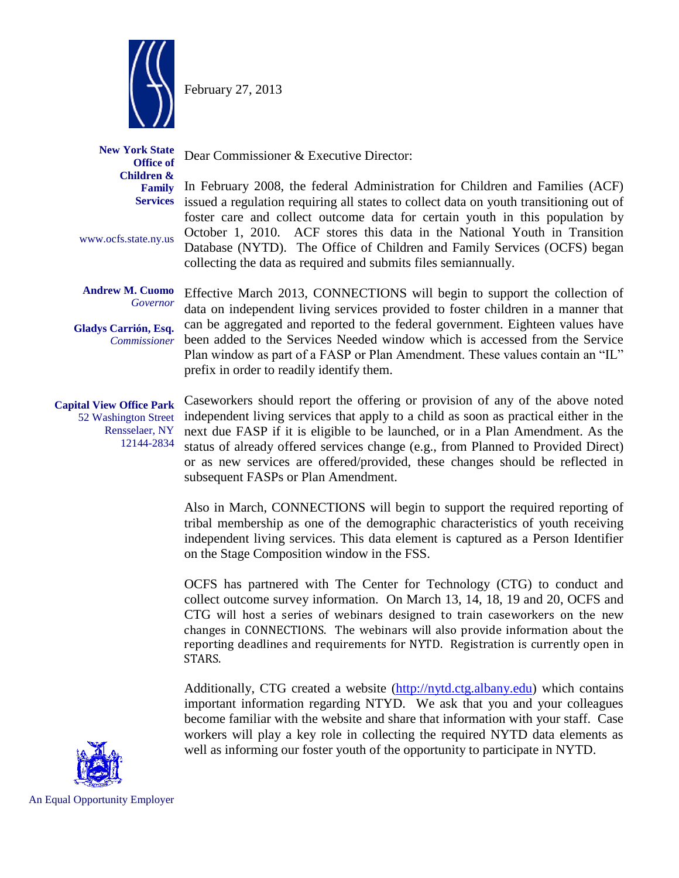

February 27, 2013

Dear Commissioner & Executive Director:

**New York State Office of Children & Family Services**

www.ocfs.state.ny.us

**Andrew M. Cuomo** *Governor*

**Gladys Carrión, Esq.** *Commissioner*

52 Washington Street Rensselaer, NY 12144-2834

Plan window as part of a FASP or Plan Amendment. These values contain an "IL" prefix in order to readily identify them. **Capital View Office Park**

Caseworkers should report the offering or provision of any of the above noted independent living services that apply to a child as soon as practical either in the next due FASP if it is eligible to be launched, or in a Plan Amendment. As the status of already offered services change (e.g., from Planned to Provided Direct) or as new services are offered/provided, these changes should be reflected in subsequent FASPs or Plan Amendment.

In February 2008, the federal Administration for Children and Families (ACF) issued a regulation requiring all states to collect data on youth transitioning out of foster care and collect outcome data for certain youth in this population by October 1, 2010. ACF stores this data in the National Youth in Transition Database (NYTD). The Office of Children and Family Services (OCFS) began

Effective March 2013, CONNECTIONS will begin to support the collection of data on independent living services provided to foster children in a manner that can be aggregated and reported to the federal government. Eighteen values have been added to the Services Needed window which is accessed from the Service

collecting the data as required and submits files semiannually.

Also in March, CONNECTIONS will begin to support the required reporting of tribal membership as one of the demographic characteristics of youth receiving independent living services. This data element is captured as a Person Identifier on the Stage Composition window in the FSS.

OCFS has partnered with The Center for Technology (CTG) to conduct and collect outcome survey information. On March 13, 14, 18, 19 and 20, OCFS and CTG will host a series of webinars designed to train caseworkers on the new changes in CONNECTIONS. The webinars will also provide information about the reporting deadlines and requirements for NYTD. Registration is currently open in STARS.

Additionally, CTG created a website [\(http://nytd.ctg.albany.edu\)](http://nytd.ctg.albany.edu/) which contains important information regarding NTYD. We ask that you and your colleagues become familiar with the website and share that information with your staff. Case workers will play a key role in collecting the required NYTD data elements as well as informing our foster youth of the opportunity to participate in NYTD.



An Equal Opportunity Employer